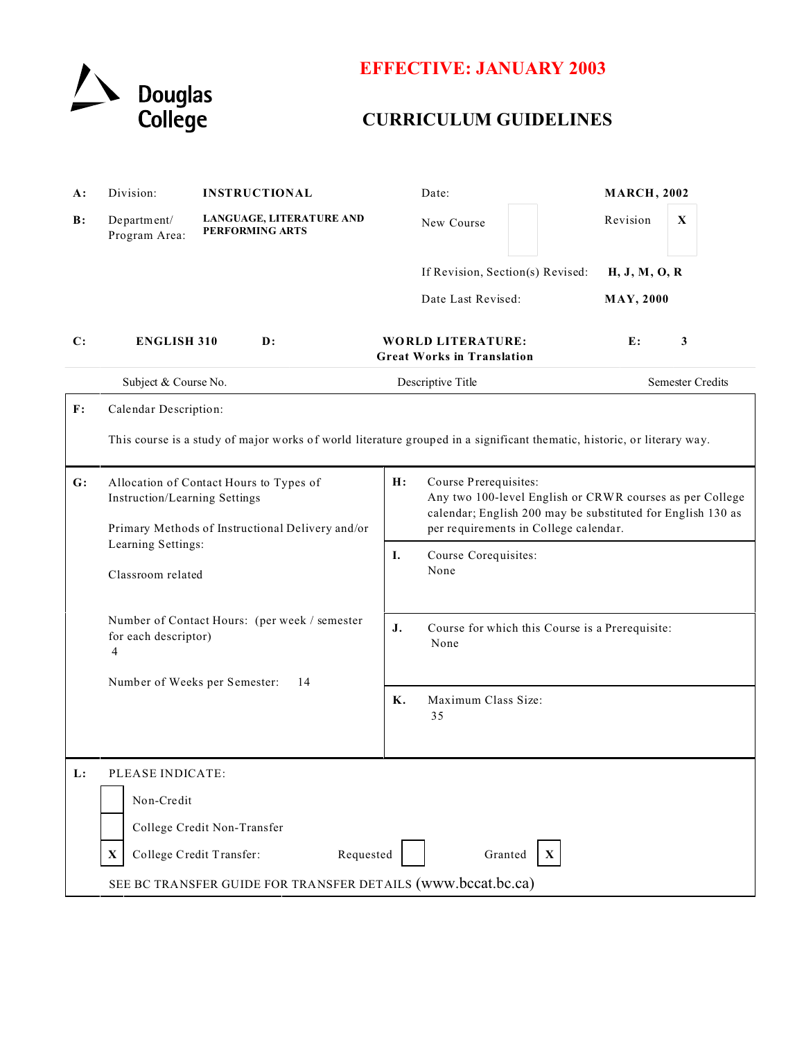

# **EFFECTIVE: JANUARY 2003**

# **CURRICULUM GUIDELINES**

| A:             | Division:                                                                                                                                                                                              | <b>INSTRUCTIONAL</b>                                          | Date:                                                                                                                                                                                           | <b>MARCH, 2002</b>                |  |
|----------------|--------------------------------------------------------------------------------------------------------------------------------------------------------------------------------------------------------|---------------------------------------------------------------|-------------------------------------------------------------------------------------------------------------------------------------------------------------------------------------------------|-----------------------------------|--|
| B:             | Department/<br>Program Area:                                                                                                                                                                           | LANGUAGE, LITERATURE AND<br>PERFORMING ARTS                   | New Course                                                                                                                                                                                      | Revision<br>$\mathbf X$           |  |
|                |                                                                                                                                                                                                        |                                                               | If Revision, Section(s) Revised:<br>Date Last Revised:                                                                                                                                          | H, J, M, O, R<br><b>MAY, 2000</b> |  |
| $\mathbf{C}$ : | <b>ENGLISH 310</b>                                                                                                                                                                                     | $\mathbf{D}$ :                                                | <b>WORLD LITERATURE:</b><br><b>Great Works in Translation</b>                                                                                                                                   | E:<br>3                           |  |
|                | Subject & Course No.                                                                                                                                                                                   |                                                               | Descriptive Title                                                                                                                                                                               | <b>Semester Credits</b>           |  |
| $\mathbf{F}$ : | Calendar Description:                                                                                                                                                                                  |                                                               |                                                                                                                                                                                                 |                                   |  |
|                | This course is a study of major works of world literature grouped in a significant thematic, historic, or literary way.                                                                                |                                                               |                                                                                                                                                                                                 |                                   |  |
| G:             | Allocation of Contact Hours to Types of<br>Instruction/Learning Settings<br>Primary Methods of Instructional Delivery and/or                                                                           |                                                               | H:<br>Course Prerequisites:<br>Any two 100-level English or CRWR courses as per College<br>calendar; English 200 may be substituted for English 130 as<br>per requirements in College calendar. |                                   |  |
|                | Learning Settings:<br>Classroom related                                                                                                                                                                |                                                               | Ι.<br>Course Corequisites:<br>None                                                                                                                                                              |                                   |  |
|                | Number of Contact Hours: (per week / semester<br>for each descriptor)<br>4                                                                                                                             | J.<br>Course for which this Course is a Prerequisite:<br>None |                                                                                                                                                                                                 |                                   |  |
|                | Number of Weeks per Semester:<br>14                                                                                                                                                                    |                                                               | Maximum Class Size:<br>K.<br>35                                                                                                                                                                 |                                   |  |
| L:             | PLEASE INDICATE:<br>Non-Credit<br>College Credit Non-Transfer<br>College Credit Transfer:<br>Requested<br>Granted<br>X<br>$\mathbf{X}$<br>SEE BC TRANSFER GUIDE FOR TRANSFER DETAILS (www.bccat.bc.ca) |                                                               |                                                                                                                                                                                                 |                                   |  |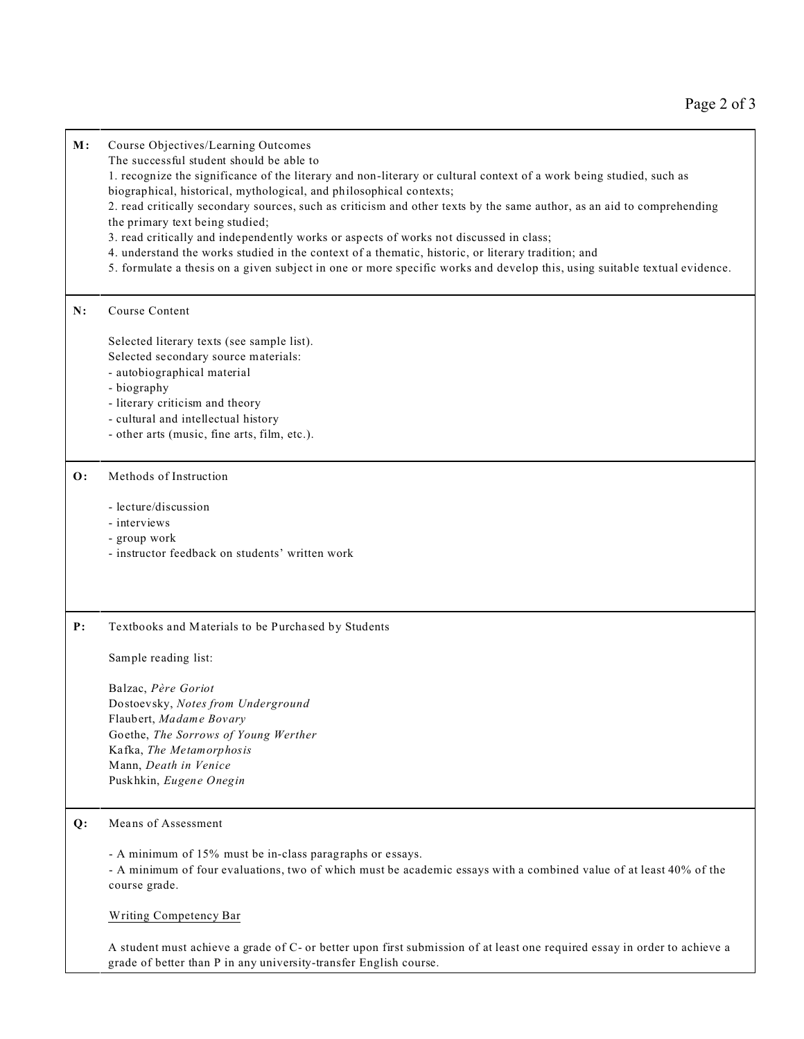### **M:** Course Objectives/Learning Outcomes

The successful student should be able to

1. recognize the significance of the literary and non-literary or cultural context of a work being studied, such as biographical, historical, mythological, and philosophical contexts;

2. read critically secondary sources, such as criticism and other texts by the same author, as an aid to comprehending the primary text being studied;

3. read critically and independently works or aspects of works not discussed in class;

- 4. understand the works studied in the context of a thematic, historic, or literary tradition; and
- 5. formulate a thesis on a given subject in one or more specific works and develop this, using suitable textual evidence.

## **N:** Course Content

Selected literary texts (see sample list).

- Selected secondary source materials:
- autobiographical material
- biography
- literary criticism and theory
- cultural and intellectual history
- other arts (music, fine arts, film, etc.).

## **O:** Methods of Instruction

- lecture/discussion
- interviews
- group work
- instructor feedback on students' written work

### **P:** Textbooks and Materials to be Purchased by Students

Sample reading list:

Balzac, *Père Goriot* Dostoevsky, *Notes from Underground* Flaubert, *Madame Bovary* Goethe, *The Sorrows of Young Werther* Kafka, *The Metamorphosis* Mann, *Death in Venice* Puskhkin, *Eugene Onegin*

## **Q:** Means of Assessment

- A minimum of 15% must be in-class paragraphs or essays.

- A minimum of four evaluations, two of which must be academic essays with a combined value of at least 40% of the course grade.

### Writing Competency Bar

A student must achieve a grade of C- or better upon first submission of at least one required essay in order to achieve a grade of better than P in any university-transfer English course.